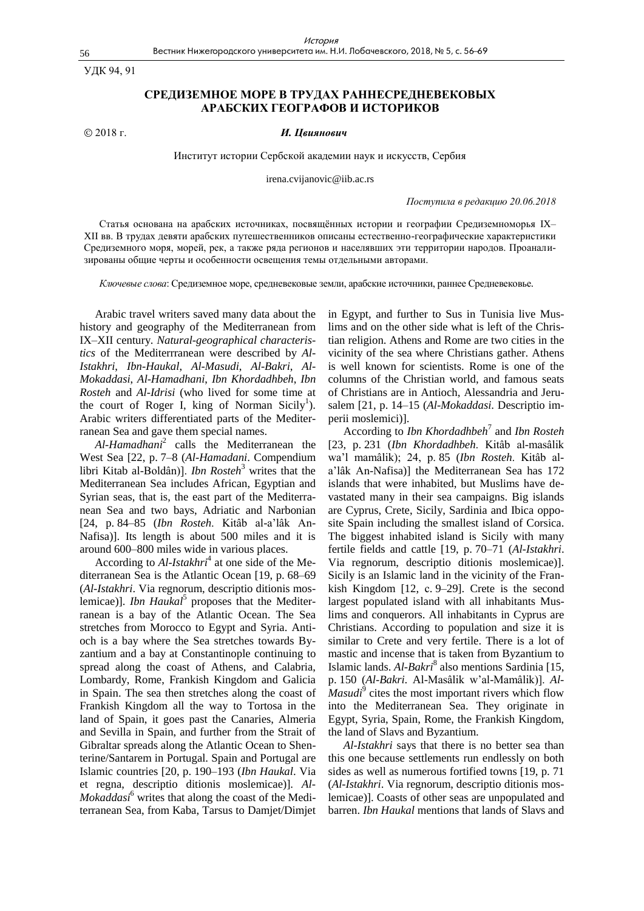УДК 94, 91

# **СРЕДИЗЕМНОЕ МОРЕ В ТРУДАХ РАННЕСРЕДНЕВЕКОВЫХ АРАБСКИХ ГЕОГРАФОВ И ИСТОРИКОВ**

# 2018 г. *И. Цвиянович*

Институт истории Сербской академии наук и искусств, Сербия

irena.cvijanovic@iib.ac.rs

*Поступила в редакцию 20.06.2018*

Cтатья основана на арабских источниках, посвящённых истории и географии Средиземноморья IX– XII вв. В трудах девяти арабских путешественников описаны естественно-географические характеристики Средиземного моря, морей, рек, а также ряда регионов и населявших эти территории народов. Проанализированы общие черты и особенности освещения темы отдельными авторами.

*Ключевые слова*: Средиземное море, средневековые земли, арабские источники, раннее Средневековье.

Arabic travel writers saved many data about the history and geography of the Mediterranean from IX–XII century. *Natural-geographical characteristics* of the Mediterrranean were described by *Al-Istakhri*, *Ibn-Haukal*, *Al-Masudi*, *Al-Bakri*, *Al-Mokaddasi*, *Al-Hamadhani*, *Ibn Khordadhbeh*, *Ibn Rosteh* and *Al-Idrisi* (who lived for some time at the court of Roger I, king of Norman Sicily<sup>1</sup>). Arabic writers differentiated parts of the Mediterranean Sea and gave them special names.

*Al-Hamadhani*<sup>2</sup> calls the Mediterranean the West Sea [22, p. 7–8 (*Al-Hamadani*. Compendium libri Kitab al-Boldân)]. *Ibn Rosteh*<sup>3</sup> writes that the Mediterranean Sea includes African, Egyptian and Syrian seas, that is, the east part of the Mediterranean Sea and two bays, Adriatic and Narbonian [24, p. 84–85 (*Ibn Rosteh*. Kitâb al-a"lâk An-Nafisa)]. Its length is about 500 miles and it is around 600–800 miles wide in various places.

According to *Al-Istakhri*<sup>4</sup> at one side of the Mediterranean Sea is the Atlantic Ocean [19, p. 68–69 (*Al-Istakhri*. Via regnorum, descriptio ditionis moslemicae)]. *Ibn Haukal*<sup>5</sup> proposes that the Mediterranean is a bay of the Atlantic Ocean. The Sea stretches from Morocco to Egypt and Syria. Antioch is a bay where the Sea stretches towards Byzantium and a bay at Constantinople continuing to spread along the coast of Athens, and Calabria, Lombardy, Rome, Frankish Kingdom and Galicia in Spain. The sea then stretches along the coast of Frankish Kingdom all the way to Tortosa in the land of Spain, it goes past the Canaries, Almeria and Sevilla in Spain, and further from the Strait of Gibraltar spreads along the Atlantic Ocean to Shenterine/Santarem in Portugal. Spain and Portugal are Islamic countries [20, p. 190–193 (*Ibn Haukal*. Via et regna, descriptio ditionis moslemicae)]. *Al-Mokaddasi*<sup>6</sup> writes that along the coast of the Mediterranean Sea, from Kaba, Tarsus to Damjet/Dimjet in Egypt, and further to Sus in Tunisia live Muslims and on the other side what is left of the Christian religion. Athens and Rome are two cities in the vicinity of the sea where Christians gather. Athens is well known for scientists. Rome is one of the columns of the Christian world, and famous seats of Christians are in Antioch, Alessandria and Jerusalem [21, p. 14–15 (*Al-Mokaddasi*. Descriptio imperii moslemici)].

According to *Ibn Khordadhbeh*<sup>7</sup> and *Ibn Rosteh* [23, p. 231 (*Ibn Khordadhbeh*. Kitâb al-masâlik wa"l mamâlik); 24, p. 85 (*Ibn Rosteh*. Kitâb ala"lâk An-Nafisa)] the Mediterranean Sea has 172 islands that were inhabited, but Muslims have devastated many in their sea campaigns. Big islands are Cyprus, Crete, Sicily, Sardinia and Ibica opposite Spain including the smallest island of Corsica. The biggest inhabited island is Sicily with many fertile fields and cattle [19, p. 70–71 (*Al-Istakhri*. Via regnorum, descriptio ditionis moslemicae)]. Sicily is an Islamic land in the vicinity of the Frankish Kingdom [12, с. 9–29]. Crete is the second largest populated island with all inhabitants Muslims and conquerors. All inhabitants in Cyprus are Christians. According to population and size it is similar to Crete and very fertile. There is a lot of mastic and incense that is taken from Byzantium to Islamic lands. *Al-Bakri*<sup>8</sup> also mentions Sardinia [15, p. 150 (*Al-Bakri*. Al-Masâlik w"al-Mamâlik)]. *Al-Masudi*<sup>9</sup> cites the most important rivers which flow into the Mediterranean Sea. They originate in Egypt, Syria, Spain, Rome, the Frankish Kingdom, the land of Slavs and Byzantium.

*Al-Istakhri* says that there is no better sea than this one because settlements run endlessly on both sides as well as numerous fortified towns [19, p. 71 (*Al-Istakhri*. Via regnorum, descriptio ditionis moslemicae)]. Coasts of other seas are unpopulated and barren. *Ibn Haukal* mentions that lands of Slavs and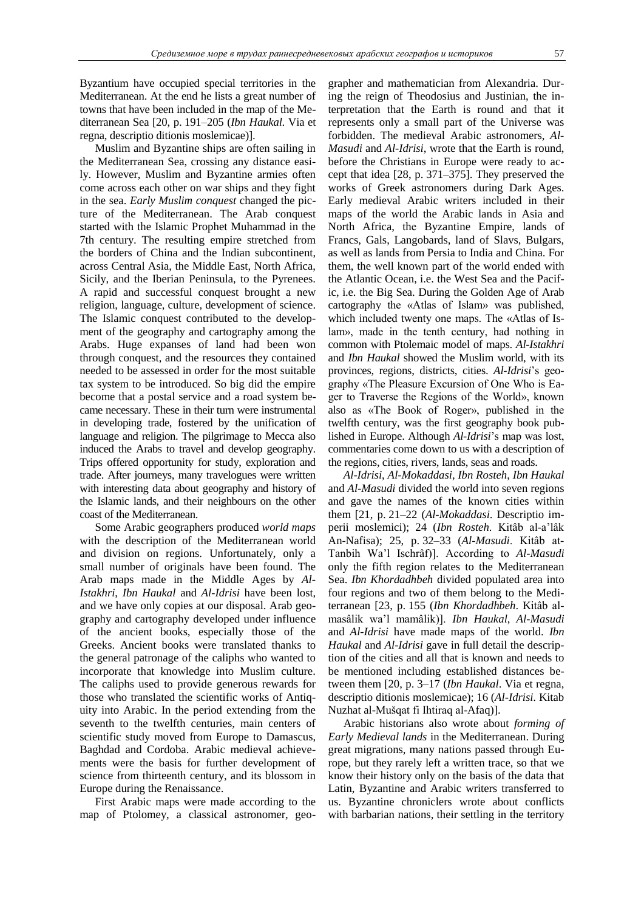Byzantium have occupied special territories in the Mediterranean. At the end he lists a great number of towns that have been included in the map of the Mediterranean Sea [20, p. 191–205 (*Ibn Haukal*. Via et regna, descriptio ditionis moslemicae)].

Muslim and Byzantine ships are often sailing in the Mediterranean Sea, crossing any distance easily. However, Muslim and Byzantine armies often come across each other on war ships and they fight in the sea. *Early Muslim conquest* changed the picture of the Mediterranean. The Arab conquest started with the Islamic Prophet Muhammad in the 7th century. The resulting empire stretched from the borders of China and the Indian subcontinent, across Central Asia, the Middle East, North Africa, Sicily, and the Iberian Peninsula, to the Pyrenees. A rapid and successful conquest brought a new religion, language, culture, development of science. The Islamic conquest contributed to the development of the geography and cartography among the Arabs. Huge expanses of land had been won through conquest, and the resources they contained needed to be assessed in order for the most suitable tax system to be introduced. So big did the empire become that a postal service and a road system became necessary. These in their turn were instrumental in developing trade, fostered by the unification of language and religion. The pilgrimage to Mecca also induced the Arabs to travel and develop geography. Trips offered opportunity for study, exploration and trade. After journeys, many travelogues were written with interesting data about geography and history of the Islamic lands, and their neighbours on the other coast of the Mediterranean.

Some Arabic geographers produced *world maps* with the description of the Mediterranean world and division on regions. Unfortunately, only a small number of originals have been found. The Arab maps made in the Middle Ages by *Al-Istakhri*, *Ibn Haukal* and *Al-Idrisi* have been lost, and we have only copies at our disposal. Arab geography and cartography developed under influence of the ancient books, especially those of the Greeks. Ancient books were translated thanks to the general patronage of the caliphs who wanted to incorporate that knowledge into Muslim culture. The caliphs used to provide generous rewards for those who translated the scientific works of Antiquity into Arabic. In the period extending from the seventh to the twelfth centuries, main centers of scientific study moved from Europe to Damascus, Baghdad and Cordoba. Arabic medieval achievements were the basis for further development of science from thirteenth century, and its blossom in Europe during the Renaissance.

First Arabic maps were made according to the map of Ptolomey, a classical astronomer, geographer and mathematician from Alexandria. During the reign of Theodosius and Justinian, the interpretation that the Earth is round and that it represents only a small part of the Universe was forbidden. The medieval Arabic astronomers, *Al-Masudi* and *Al-Idrisi*, wrote that the Earth is round, before the Christians in Europe were ready to accept that idea [28, p. 371–375]. They preserved the works of Greek astronomers during Dark Ages. Early medieval Arabic writers included in their maps of the world the Arabic lands in Asia and North Africa, thе Byzantine Empire, lands of Francs, Gals, Langobards, land of Slavs, Bulgars, as well as lands from Persia to India and China. For them, the well known part of the world ended with the Atlantic Ocean, i.e. the West Sea and the Pacific, i.e. the Big Sea. During the Golden Age of Arab cartography the «Atlas of Islam» was published, which included twenty one maps. The «Atlas of Islam», made in the tenth century, had nothing in common with Ptolemaic model of maps. *Al-Istakhri* and *Ibn Haukal* showed the Muslim world, with its provinces, regions, districts, cities. *Al-Idrisi*"s geography «The Pleasure Excursion of One Who is Eager to Traverse the Regions of the World», known also as «The Book of Roger», published in the twelfth century, was the first geography book published in Europe. Although *Al-Idrisi*"s map was lost, commentaries come down to us with a description of the regions, cities, rivers, lands, seas and roads.

*Al-Idrisi*, *Al-Mokaddasi*, *Ibn Rosteh*, *Ibn Haukal* and *Al-Masudi* divided the world into seven regions and gave the names of the known cities within them [21, p. 21–22 (*Al-Mokaddasi*. Descriptio imperii moslemici); 24 (*Ibn Rosteh*. Kitâb al-a"lâk An-Nafisa); 25, p. 32–33 (*Al-Masudi*. Kitâb at-Tanbih Wa"l Ischrâf)]. According to *Al-Masudi* only the fifth region relates to the Mediterranean Sea. *Ibn Khordadhbeh* divided populated area into four regions and two of them belong to the Mediterranean [23, p. 155 (*Ibn Khordadhbeh*. Kitâb almasâlik wa"l mamâlik)]. *Ibn Haukal*, *Al-Masudi* and *Al-Idrisi* have made maps of the world. *Ibn Haukal* and *Al-Idrisi* gave in full detail the description of the cities and all that is known and needs to be mentioned including established distances between them [20, p. 3–17 (*Ibn Haukal*. Via et regna, descriptio ditionis moslemicae); 16 (*Al-Idrisi*. Kitab Nuzhat al-Mušqat fi Ihtiraq al-Afaq)].

Arabic historians also wrote about *forming of Early Medieval lands* in the Mediterranean. During great migrations, many nations passed through Europe, but they rarely left a written trace, so that we know their history only on the basis of the data that Latin, Byzantine and Arabic writers transferred to us. Byzantine chroniclers wrote about conflicts with barbarian nations, their settling in the territory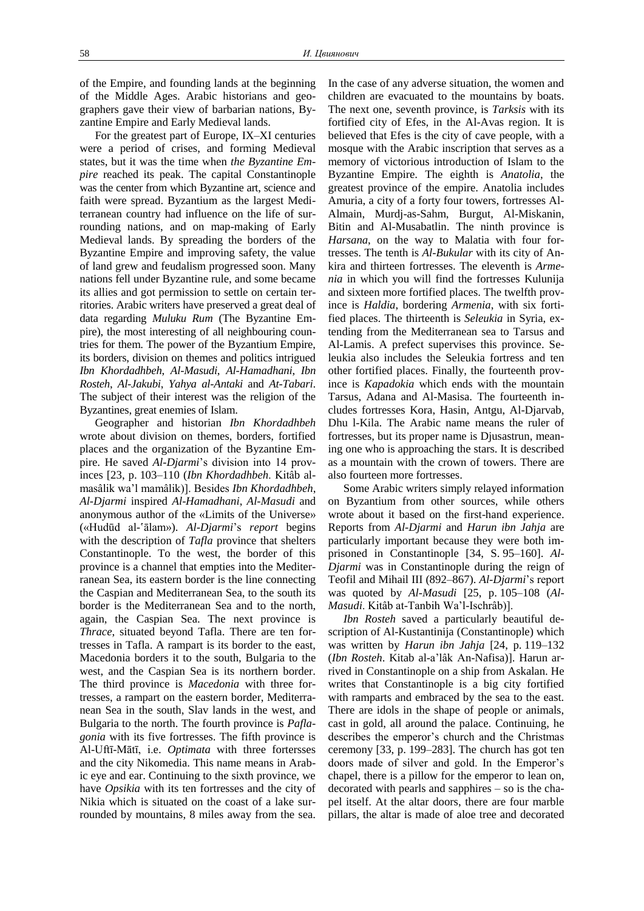of the Empire, and founding lands at the beginning of the Middle Ages. Arabic historians and geographers gave their view of barbarian nations, Byzantine Empire and Early Medieval lands.

For the greatest part of Europe, IX–XI centuries were a period of crises, and forming Medieval states, but it was the time when *the Byzantine Empire* reached its peak. The capital Constantinople was the center from which Byzantine art, science and faith were spread. Byzantium as the largest Mediterranean country had influence on the life of surrounding nations, and on map-making of Early Medieval lands. By spreading the borders of the Byzantine Empire and improving safety, the value of land grew and feudalism progressed soon. Many nations fell under Byzantine rule, and some became its allies and got permission to settle on certain territories. Arabic writers have preserved a great deal of data regarding *Muluku Rum* (The Byzantine Empire), the most interesting of all neighbouring countries for them. The power of the Byzantium Empire, its borders, division on themes and politics intrigued *Ibn Khordadhbeh*, *Al-Masudi*, *Al-Hamadhani*, *Ibn Rosteh*, *Al-Jakubi*, *Yahya al-Antaki* and *At-Tabari*. The subject of their interest was the religion of the Byzantines, great enemies of Islam.

Geographer and historian *Ibn Khordadhbeh* wrote about division on themes, borders, fortified places and the organization of the Byzantine Empire. He saved *Al-Djarmi's* division into 14 provinces [23, p. 103–110 (*Ibn Khordadhbeh*. Kitâb almasâlik wa"l mamâlik)]. Besides *Ibn Khordadhbeh*, *Al-Djarmi* inspired *Al-Hamadhani*, *Al-Masudi* and anonymous author of the «Limits of the Universe» («Hudūd al-'ālam»). *Al-Djarmi*"s *report* begins with the description of *Tafla* province that shelters Constantinople. To the west, the border of this province is a channel that empties into the Mediterranean Sea, its eastern border is the line connecting the Caspian and Mediterranean Sea, to the south its border is the Mediterranean Sea and to the north, again, the Caspian Sea. The next province is *Thrace*, situated beyond Tafla. There are ten fortresses in Tafla. A rampart is its border to the east, Macedonia borders it to the south, Bulgaria to the west, and the Caspian Sea is its northern border. The third province is *Macedonia* with three fortresses, a rampart on the eastern border, Mediterranean Sea in the south, Slav lands in the west, and Bulgaria to the north. The fourth province is *Paflagonia* with its five fortresses. The fifth province is Al-Uftī-Mātī, i.e. *Optimata* with three fortersses and the city Nikomedia. This name means in Arabic eye and ear. Continuing to the sixth province, we have *Opsikia* with its ten fortresses and the city of Nikia which is situated on the coast of a lake surrounded by mountains, 8 miles away from the sea.

In the case of any adverse situation, the women and children are evacuated to the mountains by boats. The next one, seventh province, is *Tarksis* with its fortified city of Efes, in the Al-Avas region. It is believed that Efes is the city of cave people, with a mosque with the Arabic inscription that serves as a memory of victorious introduction of Islam to the Byzantine Empire. The eighth is *Anatolia*, the greatest province of the empire. Anatolia includes Amuria, a city of a forty four towers, fortresses Al-Almain, Murdj-as-Sahm, Burgut, Al-Miskanin, Bitin and Al-Musabatlin. The ninth province is *Harsana*, on the way to Malatia with four fortresses. The tenth is *Al-Bukular* with its city of Ankira and thirteen fortresses. The eleventh is *Armenia* in which you will find the fortresses Kulunija and sixteen more fortified places. The twelfth province is *Haldia*, bordering *Armenia*, with six fortified places. The thirteenth is *Seleukia* in Syria, extending from the Mediterranean sea to Tarsus and Al-Lamis. A prefect supervises this province. Seleukia also includes the Seleukia fortress and ten other fortified places. Finally, the fourteenth province is *Kapadokia* which ends with the mountain Tarsus, Adana and Al-Masisa. The fourteenth includes fortresses Kora, Hasin, Antgu, Al-Djarvab, Dhu l-Kila. The Arabic name means the ruler of fortresses, but its proper name is Djusastrun, meaning one who is approaching the stars. It is described as a mountain with the crown of towers. There are also fourteen more fortresses.

Some Arabic writers simply relayed information on Byzantium from other sources, while others wrote about it based on the first-hand experience. Reports from *Al-Djarmi* and *Harun ibn Jahja* are particularly important because they were both imprisoned in Constantinople [34, S. 95–160]. *Al-Djarmi* was in Constantinople during the reign of Teofil and Mihail III (892–867). *Al-Djarmi*"s report was quoted by *Al-Masudi* [25, p. 105–108 (*Al-Masudi*. Kitâb at-Tanbih Wa"l-Ischrâb)].

*Ibn Rosteh* saved a particularly beautiful description of Al-Kustantinija (Constantinople) which was written by *Harun ibn Jahja* [24, p. 119–132 (*Ibn Rosteh*. Kitab al-a"lâk An-Nafisa)]. Harun arrived in Constantinople on a ship from Askalan. He writes that Constantinople is a big city fortified with ramparts and embraced by the sea to the east. There are idols in the shape of people or animals, cast in gold, all around the palace. Continuing, he describes the emperor's church and the Christmas ceremony [33, p. 199–283]. The church has got ten doors made of silver and gold. In the Emperor's chapel, there is a pillow for the emperor to lean on, decorated with pearls and sapphires – so is the chapel itself. At the altar doors, there are four marble pillars, the altar is made of aloe tree and decorated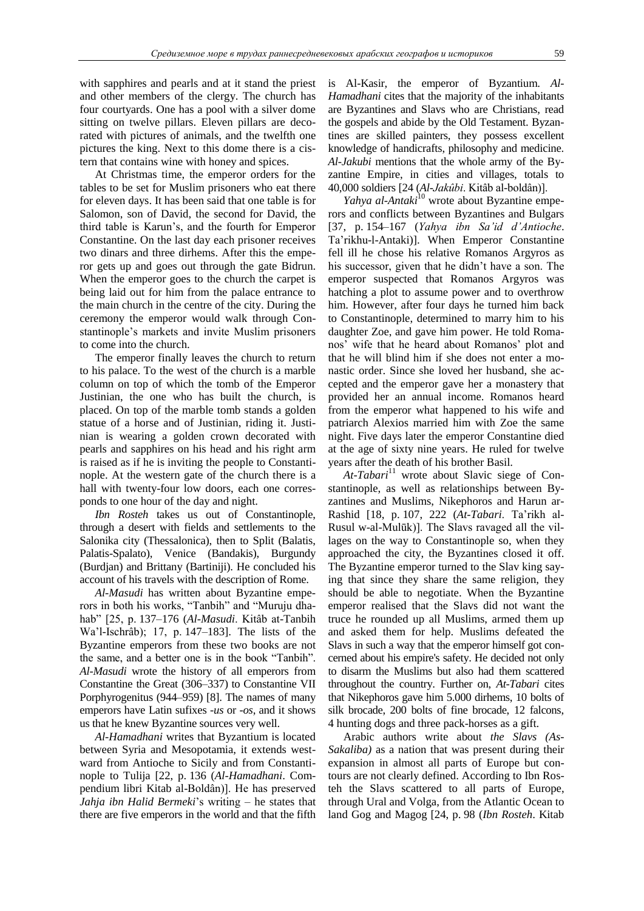with sapphires and pearls and at it stand the priest and other members of the clergy. The church has four courtyards. One has a pool with a silver dome sitting on twelve pillars. Eleven pillars are decorated with pictures of animals, and the twelfth one pictures the king. Next to this dome there is a cistern that contains wine with honey and spices.

At Christmas time, the emperor orders for the tables to be set for Muslim prisoners who eat there for eleven days. It has been said that one table is for Salomon, son of David, the second for David, the third table is Karun"s, and the fourth for Emperor Constantine. On the last day each prisoner receives two dinars and three dirhems. After this the emperor gets up and goes out through the gate Bidrun. When the emperor goes to the church the carpet is being laid out for him from the palace entrance to the main church in the centre of the city. During the ceremony the emperor would walk through Constantinople"s markets and invite Muslim prisoners to come into the church.

The emperor finally leaves the church to return to his palace. To the west of the church is a marble column on top of which the tomb of the Emperor Justinian, the one who has built the church, is placed. On top of the marble tomb stands a golden statue of a horse and of Justinian, riding it. Justinian is wearing a golden crown decorated with pearls and sapphires on his head and his right arm is raised as if he is inviting the people to Constantinople. At the western gate of the church there is a hall with twenty-four low doors, each one corresponds to one hour of the day and night.

*Ibn Rosteh* takes us out of Constantinople, through a desert with fields and settlements to the Salonika city (Thessalonica), then to Split (Balatis, Palatis-Spalato), Venice (Bandakis), Burgundy (Burdjan) and Brittany (Bartiniji). He concluded his account of his travels with the description of Rome.

*Al-Masudi* has written about Byzantine emperors in both his works, "Tanbih" and "Muruju dhahab" [25, p. 137–176 (*Al-Masudi*. Kitâb at-Tanbih Wa"l-Ischrâb); 17, p. 147–183]. The lists of the Byzantine emperors from these two books are not the same, and a better one is in the book "Tanbih". *Al-Masudi* wrote the history of all emperors from Constantine the Great (306–337) to Constantine VII Porphyrogenitus (944–959) [8]. The names of many emperors have Latin sufixes *-us* or *-os*, and it shows us that he knew Byzantine sources very well.

*Al-Hamadhani* writes that Byzantium is located between Syria and Mesopotamia, it extends westward from Antioche to Sicily and from Constantinople to Tulija [22, p. 136 (*Al-Hamadhani*. Compendium libri Kitab al-Boldân)]. He has preserved *Jahja ibn Halid Bermeki*"s writing – he states that there are five emperors in the world and that the fifth is Al-Kasir, the emperor of Byzantium. *Al-Hamadhani* cites that the majority of the inhabitants are Byzantines and Slavs who are Christians, read the gospels and abide by the Old Testament. Byzantines are skilled painters, they possess excellent knowledge of handicrafts, philosophy and medicine. *Al-Jakubi* mentions that the whole army of the Byzantine Empire, in cities and villages, totals to 40,000 soldiers [24 (*Al-Jakûbi*. Kitâb al-boldân)].

*Yahya al-Antaki*<sup>10</sup> wrote about Byzantine emperors and conflicts between Byzantines and Bulgars [37, p. 154–167 (*Yahya ibn Sa'id d'Antioche*. Ta"rikhu-l-Antaki)]. When Emperor Constantine fell ill he chose his relative Romanos Argyros as his successor, given that he didn"t have a son. The emperor suspected that Romanos Argyros was hatching a plot to assume power and to overthrow him. However, after four days he turned him back to Constantinople, determined to marry him to his daughter Zoe, and gave him power. He told Romanos" wife that he heard about Romanos" plot and that he will blind him if she does not enter a monastic order. Since she loved her husband, she accepted and the emperor gave her a monastery that provided her an annual income. Romanos heard from the emperor what happened to his wife and patriarch Alexios married him with Zoe the same night. Five days later the emperor Constantine died at the age of sixty nine years. He ruled for twelve years after the death of his brother Basil.

*At-Tabari*<sup>11</sup> wrote about Slavic siege of Constantinople, as well as relationships between Byzantines and Muslims, Nikephoros and Harun ar-Rashid [18, p. 107, 222 (*At-Tabari*. Ta"rikh al-Rusul w-al-Mulūk)]. The Slavs ravaged all the villages on the way to Constantinople so, when they approached the city, the Byzantines closed it off. The Byzantine emperor turned to the Slav king saying that since they share the same religion, they should be able to negotiate. When the Byzantine emperor realised that the Slavs did not want the truce he rounded up all Muslims, armed them up and asked them for help. Muslims defeated the Slavs in such a way that the emperor himself got concerned about his empire's safety. He decided not only to disarm the Muslims but also had them scattered throughout the country. Further on, *At-Tabari* cites that Nikephoros gave him 5.000 dirhems, 10 bolts of silk brocade, 200 bolts of fine brocade, 12 falcons, 4 hunting dogs and three pack-horses as a gift.

Arabic authors write about *the Slavs (As-Sakaliba)* as a nation that was present during their expansion in almost all parts of Europe but contours are not clearly defined. According to Ibn Rosteh the Slavs scattered to all parts of Europe, through Ural and Volga, from the Atlantic Ocean to land Gog and Magog [24, p. 98 (*Ibn Rosteh*. Kitab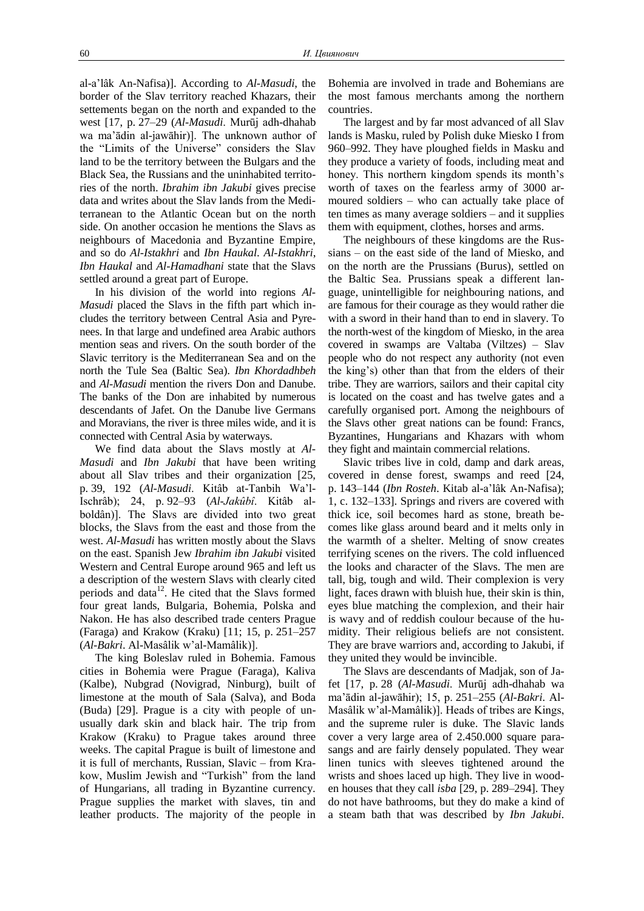al-a"lâk An-Nafisa)]. According to *Al-Masudi*, the border of the Slav territory reached Khazars, their settements began on the north and expanded to the west [17, p. 27–29 (*Al-Masudi*. Murūj adh-dhahab wa ma"ādin al-jawāhir)]. The unknown author of the "Limits of the Universe" considers the Slav land to be the territory between the Bulgars and the Black Sea, the Russians and the uninhabited territories of the north. *Ibrahim ibn Jakubi* gives precise data and writes about the Slav lands from the Mediterranean to the Atlantic Ocean but on the north side. On another occasion he mentions the Slavs as neighbours of Macedonia and Byzantine Empire, and so do *Al-Istakhri* and *Ibn Haukal*. *Al-Istakhri*, *Ibn Haukal* and *Al-Hamadhani* state that the Slavs settled around a great part of Europe.

In his division of the world into regions *Al-Masudi* placed the Slavs in the fifth part which includes the territory between Central Asia and Pyrenees. In that large and undefined area Arabic authors mention seas and rivers. On the south border of the Slavic territory is the Mediterranean Sea and on the north the Tule Sea (Baltic Sea). *Ibn Khordadhbeh* and *Al-Masudi* mention the rivers Don and Danube. The banks of the Don are inhabited by numerous descendants of Jafet. On the Danube live Germans and Moravians, the river is three miles wide, and it is connected with Central Asia by waterways.

We find data about the Slavs mostly at *Al-Masudi* and *Ibn Jakubi* that have been writing about all Slav tribes and their organization [25, p. 39, 192 (*Al-Masudi*. Kitâb at-Tanbih Wa"l-Ischrâb); 24, p. 92–93 (*Al-Jakûbî*. Kitâb alboldân)]. The Slavs are divided into two great blocks, the Slavs from the east and those from the west. *Al-Masudi* has written mostly about the Slavs on the east. Spanish Jew *Ibrahim ibn Jakubi* visited Western and Central Europe around 965 and left us a description of the western Slavs with clearly cited periods and data $12$ . He cited that the Slavs formed four great lands, Bulgaria, Bohemia, Polska and Nakon. He has also described trade centers Prague (Faraga) and Krakow (Kraku) [11; 15, p. 251–257 (*Al-Bakri*. Al-Masâlik w"al-Mamâlik)].

The king Boleslav ruled in Bohemia. Famous cities in Bohemia were Prague (Faraga), Kaliva (Kalbe), Nubgrad (Novigrad, Ninburg), built of limestone at the mouth of Sala (Salva), and Boda (Buda) [29]. Prague is a city with people of unusually dark skin and black hair. The trip from Krakow (Kraku) to Prague takes around three weeks. The capital Prague is built of limestone and it is full of merchants, Russian, Slavic – from Krakow, Muslim Jewish and "Turkish" from the land of Hungarians, all trading in Byzantine currency. Prague supplies the market with slaves, tin and leather products. The majority of the people in

Bohemia are involved in trade and Bohemians are the most famous merchants among the northern countries.

The largest and by far most advanced of all Slav lands is Masku, ruled by Polish duke Miesko I from 960–992. They have ploughed fields in Masku and they produce a variety of foods, including meat and honey. This northern kingdom spends its month's worth of taxes on the fearless army of 3000 armoured soldiers – who can actually take place of ten times as many average soldiers – and it supplies them with equipment, clothes, horses and arms.

The neighbours of these kingdoms are the Russians – on the east side of the land of Miesko, and on the north are the Prussians (Burus), settled on the Baltic Sea. Prussians speak a different language, unintelligible for neighbouring nations, and are famous for their courage as they would rather die with a sword in their hand than to end in slavery. To the north-west of the kingdom of Miesko, in the area covered in swamps are Valtaba (Viltzes) – Slav people who do not respect any authority (not even the king"s) other than that from the elders of their tribe. They are warriors, sailors and their capital city is located on the coast and has twelve gates and a carefully organised port. Among the neighbours of the Slavs other great nations can be found: Francs, Byzantines, Hungarians and Khazars with whom they fight and maintain commercial relations.

Slavic tribes live in cold, damp and dark areas, covered in dense forest, swamps and reed [24, p. 143–144 (*Ibn Rosteh*. Kitab al-a"lâk An-Nafisa); 1, c. 132–133]. Springs and rivers are covered with thick ice, soil becomes hard as stone, breath becomes like glass around beard and it melts only in the warmth of a shelter. Melting of snow creates terrifying scenes on the rivers. The cold influenced the looks and character of the Slavs. The men are tall, big, tough and wild. Their complexion is very light, faces drawn with bluish hue, their skin is thin, eyes blue matching the complexion, and their hair is wavy and of reddish coulour because of the humidity. Their religious beliefs are not consistent. They are brave warriors and, according to Jakubi, if they united they would be invincible.

The Slavs are descendants of Madjak, son of Jafet [17, p. 28 (*Al-Masudi*. Murūj adh-dhahab wa ma"ādin al-jawāhir); 15, p. 251–255 (*Al-Bakri*. Al-Masâlik w"al-Mamâlik)]. Heads of tribes are Kings, and the supreme ruler is duke. The Slavic lands cover a very large area of 2.450.000 square parasangs and are fairly densely populated. They wear linen tunics with sleeves tightened around the wrists and shoes laced up high. They live in wooden houses that they call *isba* [29, p. 289–294]. They do not have bathrooms, but they do make a kind of a steam bath that was described by *Ibn Jakubi*.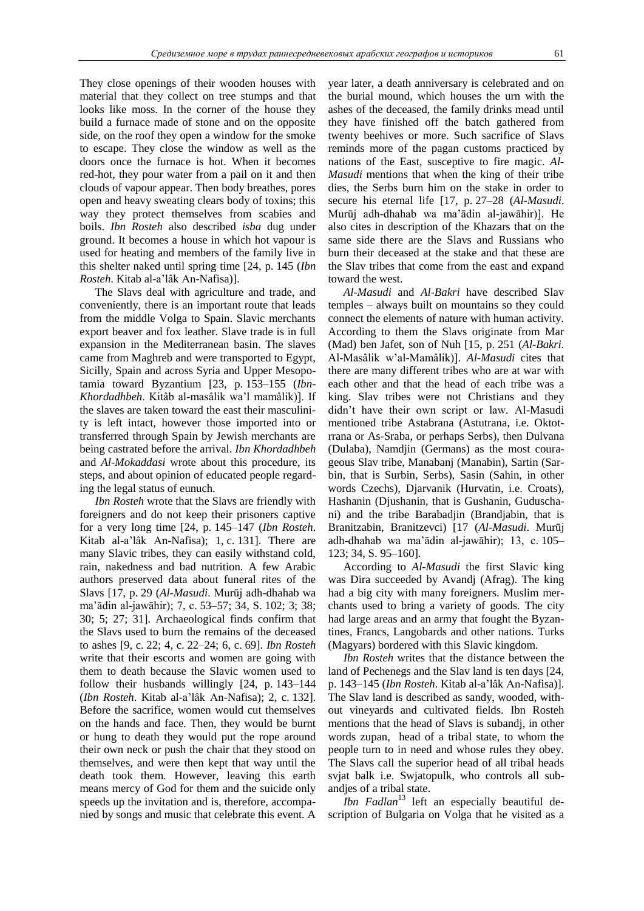They close openings of their wooden houses with material that they collect on tree stumps and that looks like moss. In the corner of the house they build a furnace made of stone and on the opposite side, on the roof they open a window for the smoke to escape. They close the window as well as the doors once the furnace is hot. When it becomes red-hot, they pour water from a pail on it and then clouds of vapour appear. Then body breathes, pores open and heavy sweating clears body of toxins; this way they protect themselves from scabies and boils. *Ibn Rosteh* also described *isba* dug under ground. It becomes a house in which hot vapour is used for heating and members of the family live in this shelter naked until spring time [24, p. 145 (*Ibn Rosteh*. Kitab al-a"lâk An-Nafisa)].

The Slavs deal with agriculture and trade, and conveniently, there is an important route that leads from the middle Volga to Spain. Slavic merchants export beaver and fox leather. Slave trade is in full expansion in the Mediterranean basin. The slaves came from Maghreb and were transported to Egypt, Sicilly, Spain and across Syria and Upper Mesopotamia toward Byzantium [23, p. 153–155 (*Ibn-Khordadhbeh*. Kitâb al-masâlik wa"l mamâlik)]. If the slaves are taken toward the east their masculinity is left intact, however those imported into or transferred through Spain by Jewish merchants are being castrated before the arrival. *Ibn Khordadhbeh* and *Al-Mokaddasi* wrote about this procedure, its steps, and about opinion of educated people regarding the legal status of eunuch.

*Ibn Rosteh* wrote that the Slavs are friendly with foreigners and do not keep their prisoners captive for a very long time [24, p. 145–147 (*Ibn Rosteh*. Kitab al-a"lâk An-Nafisa); 1, c. 131]. There are many Slavic tribes, they can easily withstand cold, rain, nakedness and bad nutrition. A few Arabic authors preserved data about funeral rites of the Slavs [17, p. 29 (*Al-Masudi*. Murūj adh-dhahab wa ma"ādin al-jawāhir); 7, c. 53–57; 34, S. 102; 3; 38; 30; 5; 27; 31]. Archaeological finds confirm that the Slavs used to burn the remains of the deceased to ashes [9, c. 22; 4, c. 22–24; 6, c. 69]. *Ibn Rosteh* write that their escorts and women are going with them to death because the Slavic women used to follow their husbands willingly [24, p. 143–144 (*Ibn Rosteh*. Kitab al-a"lâk An-Nafisa); 2, c. 132]. Before the sacrifice, women would cut themselves on the hands and face. Then, they would be burnt or hung to death they would put the rope around their own neck or push the chair that they stood on themselves, and were then kept that way until the death took them. However, leaving this earth means mercy of God for them and the suicide only speeds up the invitation and is, therefore, accompanied by songs and music that celebrate this event. A year later, a death anniversary is celebrated and on the burial mound, which houses the urn with the ashes of the deceased, the family drinks mead until they have finished off the batch gathered from twenty beehives or more. Such sacrifice of Slavs reminds more of the pagan customs practiced by nations of the East, susceptive to fire magic. *Al-Masudi* mentions that when the king of their tribe dies, the Serbs burn him on the stake in order to secure his eternal life [17, p. 27–28 (*Al-Masudi*. Murūj adh-dhahab wa ma"ādin al-jawāhir)]. He also cites in description of the Khazars that on the same side there are the Slavs and Russians who burn their deceased at the stake and that these are the Slav tribes that come from the east and expand toward the west.

*Al-Masudi* and *Al-Bakri* have described Slav temples – always built on mountains so they could connect the elements of nature with human activity. According to them the Slavs originate from Mar (Mad) ben Jafet, son of Nuh [15, p. 251 (*Al-Bakri*. Al-Masâlik w"al-Mamâlik)]. *Al-Masudi* cites that there are many different tribes who are at war with each other and that the head of each tribe was a king. Slav tribes were not Christians and they didn"t have their own script or law. Al-Masudi mentioned tribe Astabrana (Astutrana, i.e. Oktotrrana or As-Sraba, or perhaps Serbs), then Dulvana (Dulaba), Namdjin (Germans) as the most courageous Slav tribe, Manabanj (Manabin), Sartin (Sarbin, that is Surbin, Serbs), Sasin (Sahin, in other words Czechs), Djarvanik (Hurvatin, i.e. Croats), Hashanin (Djushanin, that is Gushanin, Guduschani) and the tribe Barabadjin (Brandjabin, that is Branitzabin, Branitzevci) [17 (*Al-Masudi*. Murūj adh-dhahab wa ma"ādin al-jawāhir); 13, c. 105– 123; 34, S. 95–160].

According to *Al-Masudi* the first Slavic king was Dira succeeded by Avandj (Afrag). The king had a big city with many foreigners. Muslim merchants used to bring a variety of goods. The city had large areas and an army that fought the Byzantines, Francs, Langobards and other nations. Turks (Magyars) bordered with this Slavic kingdom.

*Ibn Rosteh* writes that the distance between the land of Pechenegs and the Slav land is ten days [24, p. 143–145 (*Ibn Rosteh*. Kitab al-a"lâk An-Nafisa)]. The Slav land is described as sandy, wooded, without vineyards and cultivated fields. Ibn Rosteh mentions that the head of Slavs is subandj, in other words zupan, head of a tribal state, to whom the people turn to in need and whose rules they obey. The Slavs call the superior head of all tribal heads svjat balk i.e. Swjatopulk, who controls all subandjes of a tribal state.

*Ibn Fadlan*<sup>13</sup> left an especially beautiful description of Bulgaria on Volga that he visited as a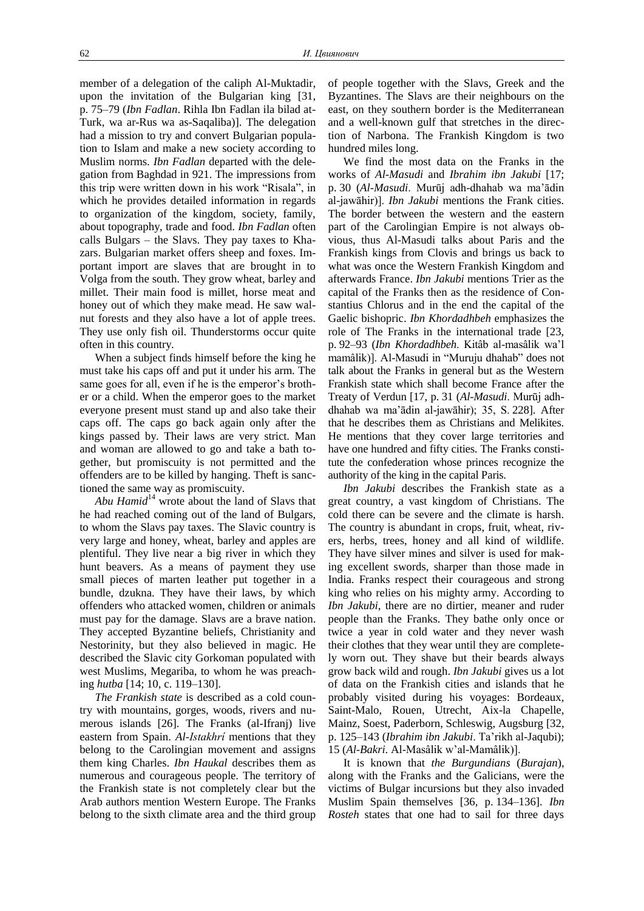member of a delegation of the caliph Al-Muktadir, upon the invitation of the Bulgarian king [31, p. 75–79 (*Ibn Fadlan*. Rihla Ibn Fadlan ila bilad at-Turk, wa ar-Rus wa as-Saqaliba)]. The delegation had a mission to try and convert Bulgarian population to Islam and make a new society according to Muslim norms. *Ibn Fadlan* departed with the delegation from Baghdad in 921. The impressions from this trip were written down in his work "Risala", in which he provides detailed information in regards to organization of the kingdom, society, family, about topography, trade and food. *Ibn Fadlan* often calls Bulgars – the Slavs. They pay taxes to Khazars. Bulgarian market offers sheep and foxes. Important import are slaves that are brought in to Volga from the south. They grow wheat, barley and millet. Their main food is millet, horse meat and honey out of which they make mead. He saw walnut forests and they also have a lot of apple trees. They use only fish oil. Thunderstorms occur quite often in this country.

When a subject finds himself before the king he must take his caps off and put it under his arm. The same goes for all, even if he is the emperor's brother or a child. When the emperor goes to the market everyone present must stand up and also take their caps off. The caps go back again only after the kings passed by. Their laws are very strict. Man and woman are allowed to go and take a bath together, but promiscuity is not permitted and the offenders are to be killed by hanging. Theft is sanctioned the same way as promiscuity.

*Abu Hamid*<sup>14</sup> wrote about the land of Slavs that he had reached coming out of the land of Bulgars, to whom the Slavs pay taxes. The Slavic country is very large and honey, wheat, barley and apples are plentiful. They live near a big river in which they hunt beavers. As a means of payment they use small pieces of marten leather put together in a bundle, dzukna. They have their laws, by which offenders who attacked women, children or animals must pay for the damage. Slavs are a brave nation. They accepted Byzantine beliefs, Christianity and Nestorinity, but they also believed in magic. He described the Slavic city Gorkoman populated with west Muslims, Megariba, to whom he was preaching *hutba* [14; 10, c. 119–130].

*The Frankish state* is described as a cold country with mountains, gorges, woods, rivers and numerous islands [26]. The Franks (al-Ifranj) live eastern from Spain. *Al-Istakhrí* mentions that they belong to the Carolingian movement and assigns them king Charles. *Ibn Haukal* describes them as numerous and courageous people. The territory of the Frankish state is not completely clear but the Arab authors mention Western Europe. The Franks belong to the sixth climate area and the third group

of people together with the Slavs, Greek and the Byzantines. The Slavs are their neighbours on the east, on they southern border is the Mediterranean and a well-known gulf that stretches in the direction of Narbona. The Frankish Kingdom is two hundred miles long.

We find the most data on the Franks in the works of *Al-Masudi* and *Ibrahim ibn Jakubi* [17; p. 30 (*Al-Masudi*. Murūj adh-dhahab wa ma"ādin al-jawāhir)]. *Ibn Jakubi* mentions the Frank cities. The border between the western and the eastern part of the Carolingian Empire is not always obvious, thus Al-Masudi talks about Paris and the Frankish kings from Clovis and brings us back to what was once the Western Frankish Kingdom and afterwards France. *Ibn Jakubi* mentions Trier as the capital of the Franks then as the residence of Constantius Chlorus and in the end the capital of the Gaelic bishopric. *Ibn Khordadhbeh* emphasizes the role of The Franks in the international trade [23, p. 92–93 (*Ibn Khordadhbeh*. Kitâb al-masâlik wa"l mamâlik)]. Al-Masudi in "Muruju dhahab" does not talk about the Franks in general but as the Western Frankish state which shall become France after the Treaty of Verdun [17, p. 31 (*Al-Masudi*. Murūj adhdhahab wa ma"ādin al-jawāhir); 35, S. 228]. After that he describes them as Christians and Melikites. He mentions that they cover large territories and have one hundred and fifty cities. The Franks constitute the confederation whose princes recognize the authority of the king in the capital Paris.

*Ibn Jakubi* describes the Frankish state as a great country, a vast kingdom of Christians. The cold there can be severe and the climate is harsh. The country is abundant in crops, fruit, wheat, rivers, herbs, trees, honey and all kind of wildlife. They have silver mines and silver is used for making excellent swords, sharper than those made in India. Franks respect their courageous and strong king who relies on his mighty army. According to *Ibn Jakubi*, there are no dirtier, meaner and ruder people than the Franks. They bathe only once or twice a year in cold water and they never wash their clothes that they wear until they are completely worn out. They shave but their beards always grow back wild and rough. *Ibn Jakubi* gives us a lot of data on the Frankish cities and islands that he probably visited during his voyages: Bordeaux, Saint-Malo, Rouen, Utrecht, Aix-la Chapelle, Mainz, Soest, Paderborn, Schleswig, Augsburg [32, p. 125–143 (*Ibrahim ibn Jakubi*. Ta"rikh al-Jaqubi); 15 (*Al-Bakri*. Al-Masâlik w"al-Mamâlik)].

It is known that *the Burgundians* (*Burajan*), along with the Franks and the Galicians, were the victims of Bulgar incursions but they also invaded Muslim Spain themselves [36, p. 134–136]. *Ibn Rosteh* states that one had to sail for three days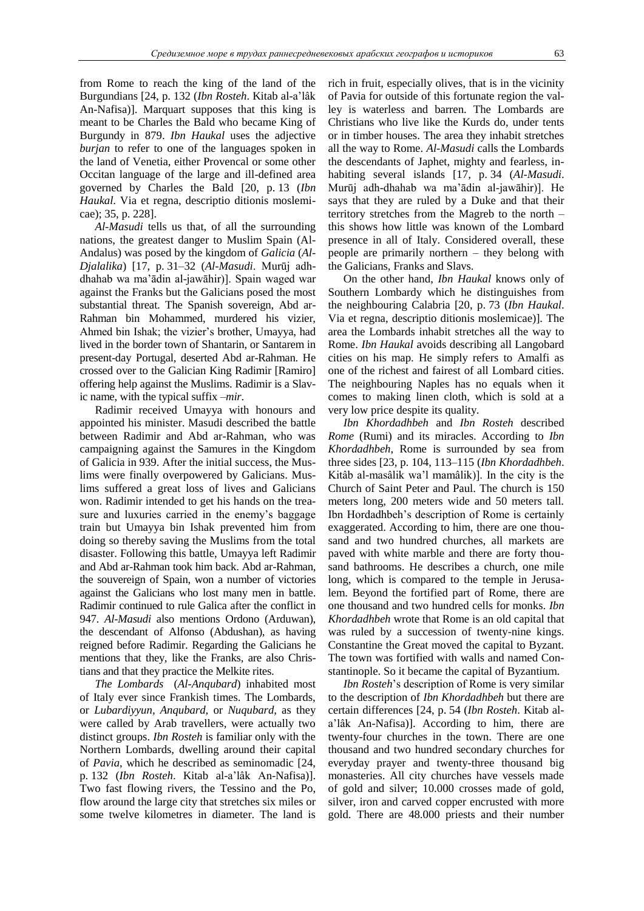from Rome to reach the king of the land of the Burgundians [24, p. 132 (*Ibn Rosteh*. Kitab al-a"lâk An-Nafisa)]. Marquart supposes that this king is meant to be Charles the Bald who became King of Burgundy in 879. *Ibn Haukal* uses the adjective *burjan* to refer to one of the languages spoken in the land of Venetia, either Provencal or some other Occitan language of the large and ill-defined area governed by Charles the Bald [20, p. 13 (*Ibn Haukal*. Via et regna, descriptio ditionis moslemicae); 35, p. 228].

*Al-Masudi* tells us that, of all the surrounding nations, the greatest danger to Muslim Spain (Al-Andalus) was posed by the kingdom of *Galicia* (*Al-Djalalika*) [17, p. 31–32 (*Al-Masudi*. Murūj adhdhahab wa ma"ādin al-jawāhir)]. Spain waged war against the Franks but the Galicians posed the most substantial threat. The Spanish sovereign, Abd ar-Rahman bin Mohammed, murdered his vizier, Ahmed bin Ishak; the vizier's brother, Umayya, had lived in the border town of Shantarin, or Santarem in present-day Portugal, deserted Abd ar-Rahman. He crossed over to the Galician King Radimir [Ramiro] offering help against the Muslims. Radimir is a Slavic name, with the typical suffix *–mir*.

Radimir received Umayya with honours and appointed his minister. Masudi described the battle between Radimir and Abd ar-Rahman, who was campaigning against the Samures in the Kingdom of Galicia in 939. After the initial success, the Muslims were finally overpowered by Galicians. Muslims suffered a great loss of lives and Galicians won. Radimir intended to get his hands on the treasure and luxuries carried in the enemy's baggage train but Umayya bin Ishak prevented him from doing so thereby saving the Muslims from the total disaster. Following this battle, Umayya left Radimir and Abd ar-Rahman took him back. Abd ar-Rahman, the souvereign of Spain, won a number of victories against the Galicians who lost many men in battle. Radimir continued to rule Galica after the conflict in 947. *Al-Masudi* also mentions Ordono (Arduwan), the descendant of Alfonso (Abdushan), as having reigned before Radimir. Regarding the Galicians he mentions that they, like the Franks, are also Christians and that they practice the Melkite rites.

*The Lombards* (*Al-Anqubard*) inhabited most of Italy ever since Frankish times. The Lombards, or *Lubardiyyun, Anqubard,* or *Nuqubard*, as they were called by Arab travellers, were actually two distinct groups. *Ibn Rosteh* is familiar only with the Northern Lombards, dwelling around their capital of *Pavia*, which he described as seminomadic [24, p. 132 (*Ibn Rosteh*. Kitab al-a"lâk An-Nafisa)]. Two fast flowing rivers, the Tessino and the Po, flow around the large city that stretches six miles or some twelve kilometres in diameter. The land is

rich in fruit, especially olives, that is in the vicinity of Pavia for outside of this fortunate region the valley is waterless and barren. The Lombards are Christians who live like the Kurds do, under tents or in timber houses. The area they inhabit stretches all the way to Rome. *Al-Masudi* calls the Lombards the descendants of Japhet, mighty and fearless, inhabiting several islands [17, p. 34 (*Al-Masudi*. Murūj adh-dhahab wa ma"ādin al-jawāhir)]. He says that they are ruled by a Duke and that their territory stretches from the Magreb to the north – this shows how little was known of the Lombard presence in all of Italy. Considered overall, these people are primarily northern – they belong with the Galicians, Franks and Slavs.

On the other hand, *Ibn Haukal* knows only of Southern Lombardy which he distinguishes from the neighbouring Calabria [20, p. 73 (*Ibn Haukal*. Via et regna, descriptio ditionis moslemicae)]. The area the Lombards inhabit stretches all the way to Rome. *Ibn Haukal* avoids describing all Langobard cities on his map. He simply refers to Amalfi as one of the richest and fairest of all Lombard cities. The neighbouring Naples has no equals when it comes to making linen cloth, which is sold at a very low price despite its quality.

*Ibn Khordadhbeh* and *Ibn Rosteh* described *Rome* (Rumi) and its miracles. According to *Ibn Khordadhbeh*, Rome is surrounded by sea from three sides [23, p. 104, 113–115 (*Ibn Khordadhbeh*. Kitâb al-masâlik wa"l mamâlik)]. In the city is the Church of Saint Peter and Paul. The church is 150 meters long, 200 meters wide and 50 meters tall. Ibn Hordadhbeh"s description of Rome is certainly exaggerated. According to him, there are one thousand and two hundred churches, all markets are paved with white marble and there are forty thousand bathrooms. He describes a church, one mile long, which is compared to the temple in Jerusalem. Beyond the fortified part of Rome, there are one thousand and two hundred cells for monks. *Ibn Khordadhbeh* wrote that Rome is an old capital that was ruled by a succession of twenty-nine kings. Constantine the Great moved the capital to Byzant. The town was fortified with walls and named Constantinople. So it became the capital of Byzantium.

*Ibn Rosteh*"s description of Rome is very similar to the description of *Ibn Khordadhbeh* but there are certain differences [24, p. 54 (*Ibn Rosteh*. Kitab ala"lâk An-Nafisa)]. According to him, there are twenty-four churches in the town. There are one thousand and two hundred secondary churches for everyday prayer and twenty-three thousand big monasteries. All city churches have vessels made of gold and silver; 10.000 crosses made of gold, silver, iron and carved copper encrusted with more gold. There are 48.000 priests and their number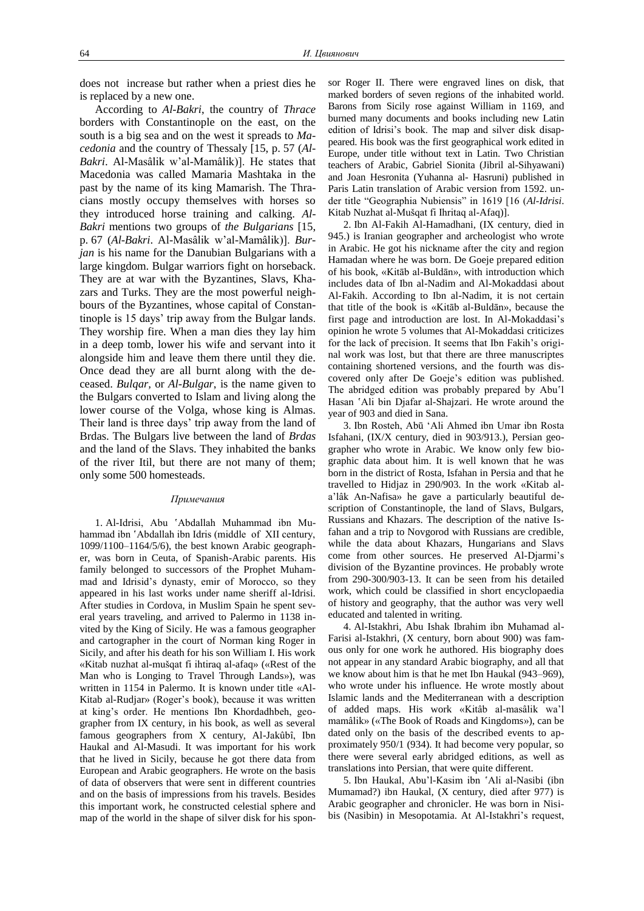does not increase but rather when a priest dies he is replaced by a new one.

According to *Al-Bakri*, the country of *Thrace* borders with Constantinople on the east, on the south is a big sea and on the west it spreads to *Macedonia* and the country of Thessaly [15, p. 57 (*Al-Bakri*. Al-Masâlik w"al-Mamâlik)]. He states that Macedonia was called Mamaria Mashtaka in the past by the name of its king Mamarish. The Thracians mostly occupy themselves with horses so they introduced horse training and calking. *Al-Bakri* mentions two groups of *the Bulgarians* [15, p. 67 (*Al-Bakri*. Al-Masâlik w"al-Mamâlik)]. *Burjan* is his name for the Danubian Bulgarians with a large kingdom. Bulgar warriors fight on horseback. They are at war with the Byzantines, Slavs, Khazars and Turks. They are the most powerful neighbours of the Byzantines, whose capital of Constantinople is 15 days" trip away from the Bulgar lands. They worship fire. When a man dies they lay him in a deep tomb, lower his wife and servant into it alongside him and leave them there until they die. Once dead they are all burnt along with the deceased. *Bulqar,* or *Al-Bulgar*, is the name given to the Bulgars converted to Islam and living along the lower course of the Volga, whose king is Almas. Their land is three days' trip away from the land of Brdas. The Bulgars live between the land of *Brdas* and the land of the Slavs. They inhabited the banks of the river Itil, but there are not many of them; only some 500 homesteads.

#### *Примечания*

1. Al-Idrisi, Abu 'Abdallah Muhammad ibn Muhammad ibn 'Abdallah ibn Idris (middle of XII century, 1099/1100–1164/5/6), the best known Arabic geographer, was born in Ceuta, of Spanish-Arabic parents. His family belonged to successors of the Prophet Muhammad and Idrisid"s dynasty, emir of Morocco, so they appeared in his last works under name sheriff al-Idrisi. After studies in Cordova, in Muslim Spain he spent several years traveling, and arrived to Palermo in 1138 invited by the King of Sicily. He was a famous geographer and cartographer in the court of Norman king Roger in Sicily, and after his death for his son William I. His work «Kitab nuzhat al-mušqat fi ihtiraq al-afaq» («Rest of the Man who is Longing to Travel Through Lands»), was written in 1154 in Palermo. It is known under title «Al-Kitab al-Rudjar» (Roger's book), because it was written at king"s order. He mentions Ibn Khordadhbeh, geographer from IX century, in his book, as well as several famous geographers from X century, Al-Jakûbî, Ibn Haukal and Al-Masudi. It was important for his work that he lived in Sicily, because he got there data from European and Arabic geographers. He wrote on the basis of data of observers that were sent in different countries and on the basis of impressions from his travels. Besides this important work, he constructed celestial sphere and map of the world in the shape of silver disk for his sponsor Roger II. There were engraved lines on disk, that marked borders of seven regions of the inhabited world. Barons from Sicily rose against William in 1169, and burned many documents and books including new Latin edition of Idrisi"s book. The map and silver disk disappeared. His book was the first geographical work edited in Europe, under title without text in Latin. Two Christian teachers of Arabic, Gabriel Sionita (Jibril al-Sihyawani) and Joan Hesronita (Yuhanna al- Hasruni) published in Paris Latin translation of Arabic version from 1592. under title "Geographia Nubiensis" in 1619 [16 (*Al-Idrisi*. Kitab Nuzhat al-Mušqat fi Ihritaq al-Afaq)].

2. Ibn Al-Fakih Al-Hamadhani, (IX century, died in 945.) is Iranian geographer and archeologist who wrote in Arabic. He got his nickname after the city and region Hamadan where he was born. De Goeje prepared edition of his book, «Kitāb al-Buldān», with introduction which includes data of Ibn al-Nadim and Al-Mokaddasi about Al-Fakih. According to Ibn al-Nadim, it is not certain that title of the book is «Kitāb al-Buldān», because the first page and introduction are lost. In Al-Mokaddasi"s opinion he wrote 5 volumes that Al-Mokaddasi criticizes for the lack of precision. It seems that Ibn Fakih"s original work was lost, but that there are three manuscriptes containing shortened versions, and the fourth was discovered only after De Goeje"s edition was published. The abridged edition was probably prepared by Abu'l Hasan 'Ali bin Djafar al-Shajzari. He wrote around the year of 903 and died in Sana.

3. Ibn Rosteh, Abū "Ali Ahmed ibn Umar ibn Rosta Isfahani, (IX/X century, died in 903/913.), Persian geographer who wrote in Arabic. We know only few biographic data about him. It is well known that he was born in the district of Rosta, Isfahan in Persia and that he travelled to Hidjaz in 290/903. In the work «Kitab ala"lâk An-Nafisa» he gave a particularly beautiful description of Constantinople, the land of Slavs, Bulgars, Russians and Khazars. The description of the native Isfahan and a trip to Novgorod with Russians are credible, while the data about Khazars, Hungarians and Slavs come from other sources. He preserved Al-Djarmi's division of the Byzantine provinces. He probably wrote from 290-300/903-13. It can be seen from his detailed work, which could be classified in short encyclopaedia of history and geography, that the author was very well educated and talented in writing.

4. Al-Istakhri, Abu Ishak Ibrahim ibn Muhamad al-Farisi al-Istakhri, (X century, born about 900) was famous only for one work he authored. His biography does not appear in any standard Arabic biography, and all that we know about him is that he met Ibn Haukal (943–969), who wrote under his influence. He wrote mostly about Islamic lands and the Mediterranean with a description of added maps. His work «Kitâb al-masâlik wa"l mamâlik» («The Book of Roads and Kingdoms»), can be dated only on the basis of the described events to approximately 950/1 (934). It had become very popular, so there were several early abridged editions, as well as translations into Persian, that were quite different.

5. Ibn Haukal, Abu"l-Kasim ibn 'Ali al-Nasibi (ibn Mumamad?) ibn Haukal, (X century, died after 977) is Arabic geographer and chronicler. He was born in Nisibis (Nasibin) in Mesopotamia. At Al-Istakhri's request,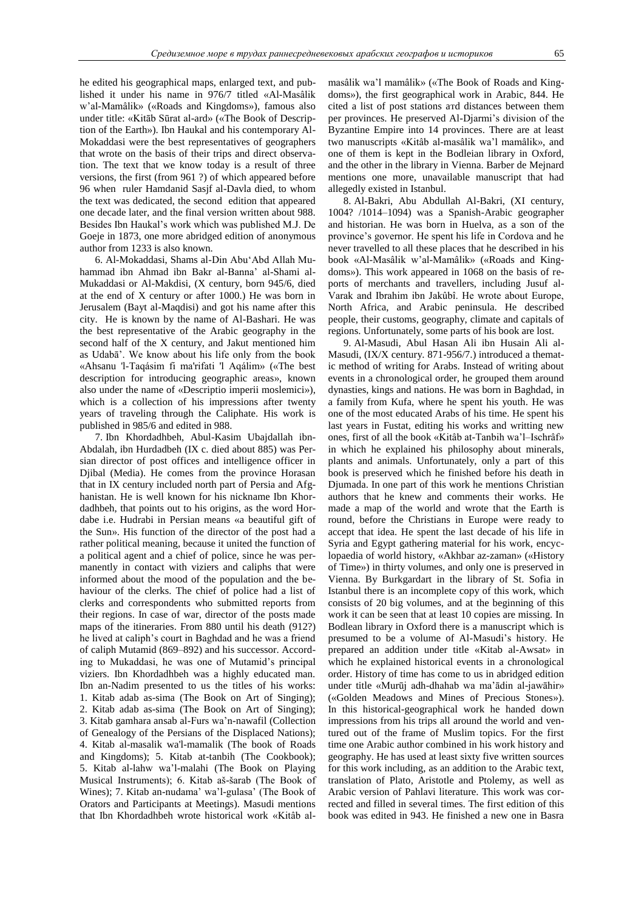he edited his geographical maps, enlarged text, and published it under his name in 976/7 titled «Al-Masâlik w"al-Mamâlik» («Roads and Kingdoms»), famous also under title: «Kitāb Sūrat al-ard» («The Book of Description of the Earth»). Ibn Haukal and his contemporary Al-Mokaddasi were the best representatives of geographers that wrote on the basis of their trips and direct observation. The text that we know today is a result of three versions, the first (from 961 ?) of which appeared before 96 when ruler Hamdanid Sasjf al-Davla died, to whom the text was dedicated, the second edition that appeared one decade later, and the final version written about 988. Besides Ibn Haukal"s work which was published M.J. De Goeje in 1873, one more abridged edition of anonymous author from 1233 is also known.

6. Al-Mokaddasi, Shams al-Din Abu"Abd Allah Muhammad ibn Ahmad ibn Bakr al-Banna' al-Shami al-Mukaddasi or Al-Makdisi, (X century, born 945/6, died at the end of X century or after 1000.) He was born in Jerusalem (Bayt al-Maqdisi) and got his name after this city. He is known by the name of Al-Bashari. He was the best representative of the Arabic geography in the second half of the X century, and Jakut mentioned him as Udabā". We know about his life only from the book «Ahsanu 'l-Taqásim fi ma'rifati 'l Aqálim» («The best description for introducing geographic areas», known also under the name of «Descriptio imperii moslemici»), which is a collection of his impressions after twenty years of traveling through the Caliphate. His work is published in 985/6 and edited in 988.

7. Ibn Khordadhbeh, Abul-Kasim Ubajdallah ibn-Abdalah, ibn Hurdadbeh (IX c. died about 885) was Persian director of post offices and intelligence officer in Djibal (Media). He comes from the province Horasan that in IX century included north part of Persia and Afghanistan. He is well known for his nickname Ibn Khordadhbeh, that points out to his origins, as the word Hordabe i.e. Hudrabi in Persian means «a beautiful gift of the Sun». His function of the director of the post had a rather political meaning, because it united the function of a political agent and a chief of police, since he was permanently in contact with viziers and caliphs that were informed about the mood of the population and the behaviour of the clerks. The chief of police had a list of clerks and correspondents who submitted reports from their regions. In case of war, director of the posts made maps of the itineraries. From 880 until his death (912?) he lived at caliph"s court in Baghdad and he was a friend of caliph Mutamid (869–892) and his successor. According to Mukaddasi, he was one of Mutamid"s principal viziers. Ibn Khordadhbeh was a highly educated man. Ibn an-Nadim presented to us the titles of his works: 1. Kitab adab as-sima (The Book on Art of Singing); 2. Kitab adab as-sima (The Book on Art of Singing); 3. Kitab gamhara ansab al-Furs wa"n-nawafil (Collection of Genealogy of the Persians of the Displaced Nations); 4. Kitab al-masalik wa'l-mamalik (The book of Roads and Kingdoms); 5. Kitab at-tanbih (The Cookbook); 5. Kitab al-lahw wa"l-malahi (The Book on Playing Musical Instruments); 6. Kitab aš-šarab (The Book of Wines); 7. Kitab an-nudama' wa'l-gulasa' (The Book of Orators and Participants at Meetings). Masudi mentions that Ibn Khordadhbeh wrote historical work «Kitâb almasâlik wa"l mamâlik» («The Book of Roads and Kingdoms»), the first geographical work in Arabic, 844. He cited a list of post stations aтd distances between them per provinces. He preserved Al-Djarmi"s division of the Byzantine Empire into 14 provinces. There are at least two manuscripts «Kitâb al-masâlik wa"l mamâlik», and one of them is kept in the Bodleian library in Oxford, and the other in the library in Vienna. Barber de Mejnard mentions one more, unavailable manuscript that had allegedly existed in Istanbul.

8. Al-Bakri, Abu Abdullah Al-Bakri, (XI century, 1004? /1014–1094) was a Spanish-Arabic geographer and historian. He was born in Huelva, as a son of the province"s governor. He spent his life in Cordova and he never travelled to all these places that he described in his book «Al-Masâlik w"al-Mamâlik» («Roads and Kingdoms»). This work appeared in 1068 on the basis of reports of merchants and travellers, including Jusuf al-Varak and Ibrahim ibn Jakûbî. He wrote about Europe, North Africa, and Arabic peninsula. He described people, their customs, geography, climate and capitals of regions. Unfortunately, some parts of his book are lost.

9. Al-Masudi, Abul Hasan Ali ibn Husain Ali al-Masudi, (IX/X century. 871-956/7.) introduced a thematic method of writing for Arabs. Instead of writing about events in a chronological order, he grouped them around dynasties, kings and nations. He was born in Baghdad, in a family from Kufa, where he spent his youth. He was one of the most educated Arabs of his time. He spent his last years in Fustat, editing his works and writting new ones, first of all the book «Kitâb at-Tanbih wa"l–Ischrâf» in which he explained his philosophy about minerals, plants and animals. Unfortunately, only a part of this book is preserved which he finished before his death in Djumada. In one part of this work he mentions Christian authors that he knew and comments their works. He made a map of the world and wrote that the Earth is round, before the Christians in Europe were ready to accept that idea. He spent the last decade of his life in Syria and Egypt gathering material for his work, encyclopaedia of world history, «Akhbar az-zaman» («History of Time») in thirty volumes, and only one is preserved in Vienna. By Burkgardart in the library of St. Sofia in Istanbul there is an incomplete copy of this work, which consists of 20 big volumes, and at the beginning of this work it can be seen that at least 10 copies are missing. In Bodlean library in Oxford there is a manuscript which is presumed to be a volume of Al-Masudi"s history. He prepared an addition under title «Kitab al-Awsat» in which he explained historical events in a chronological order. History of time has come to us in abridged edition under title «Murūj adh-dhahab wa ma"ādin al-jawāhir» («Golden Meadows and Mines of Precious Stones»). In this historical-geographical work he handed down impressions from his trips all around the world and ventured out of the frame of Muslim topics. For the first time one Arabic author combined in his work history and geography. He has used at least sixty five written sources for this work including, as an addition to the Arabic text, translation of Plato, Aristotle and Ptolemy, as well as Arabic version of Pahlavi literature. This work was corrected and filled in several times. The first edition of this book was edited in 943. He finished a new one in Basra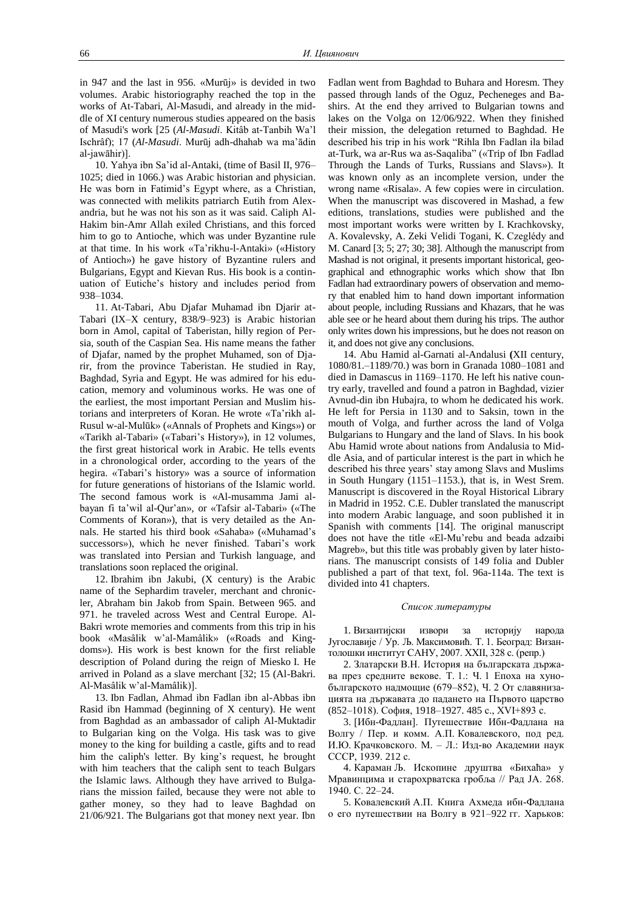in 947 and the last in 956. «Murūj» is devided in two volumes. Arabic historiography reached the top in the works of At-Tabari, Al-Masudi, and already in the middle of XI century numerous studies appeared on the basis of Masudi's work [25 (*Al-Masudi*. Kitâb at-Tanbih Wa"l Ischrâf); 17 (*Al-Masudi*. Murūj adh-dhahab wa ma"ādin al-jawāhir)].

10. Yahya ibn Sa"id al-Antaki, (time of Basil II, 976– 1025; died in 1066.) was Arabic historian and physician. He was born in Fatimid"s Egypt where, as a Christian, was connected with melikits patriarch Eutih from Alexandria, but he was not his son as it was said. Caliph Al-Hakim bin-Amr Allah exiled Christians, and this forced him to go to Antioche, which was under Byzantine rule at that time. In his work «Ta"rikhu-l-Antaki» («History of Antioch») he gave history of Byzantine rulers and Bulgarians, Egypt and Kievan Rus. His book is a continuation of Eutiche"s history and includes period from 938–1034.

11. At-Tabari, Abu Djafar Muhamad ibn Djarir at-Tabari (IX–X century, 838/9–923) is Arabic historian born in Amol, capital of Taberistan, hilly region of Persia, south of the Caspian Sea. His name means the father of Djafar, named by the prophet Muhamed, son of Djarir, from the province Taberistan. He studied in Ray, Baghdad, Syria and Egypt. He was admired for his education, memory and voluminous works. He was one of the earliest, the most important Persian and Muslim historians and interpreters of Koran. He wrote «Ta'rikh al-Rusul w-al-Mulūk» («Annals of Prophets and Kings») or «Tarikh al-Tabari» («Tabari"s History»), in 12 volumes, the first great historical work in Arabic. He tells events in a chronological order, according to the years of the hegira. «Tabari"s history» was a source of information for future generations of historians of the Islamic world. The second famous work is «Al-musamma Jami albayan fi ta"wil al-Qur"an», or «Tafsir al-Tabari» («The Comments of Koran»), that is very detailed as the Annals. He started his third book «Sahaba» («Muhamad"s successors»), which he never finished. Tabari's work was translated into Persian and Turkish language, and translations soon replaced the original.

12. Ibrahim ibn Jakubi, (X century) is the Arabic name of the Sephardim traveler, merchant and chronicler, Abraham bin Jakob from Spain. Between 965. and 971. he traveled across West and Central Europe. Al-Bakri wrote memories and comments from this trip in his book «Masâlik w"al-Mamâlik» («Roads and Kingdoms»). His work is best known for the first reliable description of Poland during the reign of Miesko I. He arrived in Poland as a slave merchant [32; 15 (Al-Bakri. Al-Masâlik w"al-Mamâlik)].

13. Ibn Fadlan, Ahmad ibn Fadlan ibn al-Abbas ibn Rasid ibn Hammad (beginning of X century). He went from Baghdad as an ambassador of caliph Al-Muktadir to Bulgarian king on the Volga. His task was to give money to the king for building a castle, gifts and to read him the caliph's letter. By king's request, he brought with him teachers that the caliph sent to teach Bulgars the Islamic laws. Although they have arrived to Bulgarians the mission failed, because they were not able to gather money, so they had to leave Baghdad on 21/06/921. The Bulgarians got that money next year. Ibn

Fadlan went from Baghdad to Buhara and Horesm. They passed through lands of the Oguz, Pecheneges and Bashirs. At the end they arrived to Bulgarian towns and lakes on the Volga on 12/06/922. When they finished their mission, the delegation returned to Baghdad. He described his trip in his work "Rihla Ibn Fadlan ila bilad at-Turk, wa ar-Rus wa as-Saqaliba" («Trip of Ibn Fadlad Through the Lands of Turks, Russians and Slavs»). It was known only as an incomplete version, under the wrong name «Risala». A few copies were in circulation. When the manuscript was discovered in Mashad, a few editions, translations, studies were published and the most important works were written by I. Krachkovsky, A. Kovalevsky, A. Zeki Velidi Togani, K. Czeglédy and M. Canard [3; 5; 27; 30; 38]. Although the manuscript from Mashad is not original, it presents important historical, geographical and ethnographic works which show that Ibn Fadlan had extraordinary powers of observation and memory that enabled him to hand down important information about people, including Russians and Khazars, that he was able see or he heard about them during his trips. The author only writes down his impressions, but he does not reason on it, and does not give any conclusions.

14. Abu Hamid al-Garnati al-Andalusi **(**XII century, 1080/81.–1189/70.) was born in Granada 1080–1081 and died in Damascus in 1169–1170. He left his native country early, travelled and found a patron in Baghdad, vizier Avnud-din ibn Hubajra, to whom he dedicated his work. He left for Persia in 1130 and to Saksin, town in the mouth of Volga, and further across the land of Volga Bulgarians to Hungary and the land of Slavs. In his book Abu Hamid wrote about nations from Andalusia to Middle Asia, and of particular interest is the part in which he described his three years" stay among Slavs and Muslims in South Hungary (1151–1153.), that is, in West Srem. Manuscript is discovered in the Royal Historical Library in Madrid in 1952. C.E. Dubler translated the manuscript into modern Arabic language, and soon published it in Spanish with comments [14]. The original manuscript does not have the title «El-Mu"rebu and beada adzaibi Magreb», but this title was probably given by later historians. The manuscript consists of 149 folia and Dubler published a part of that text, fol. 96a-114a. The text is divided into 41 chapters.

#### *Список литературы*

1. Византијски извори за историју народа Југославије / Ур. Љ. Максимовић. Т. 1. Београд: Византолошки институт САНУ, 2007. XXII, 328 с. (репр.)

2. Златарски В.Н. История на българската държава през средните векове. Т. 1.: Ч. 1 Епоха на хунобългарското надмощие (679–852), Ч. 2 От славянизацията на държавата до падането на Първото царство (852–1018). София, 1918–1927. 485 с., XVI+893 с.

3. [Ибн-Фадлан]. Путешествие Ибн-Фадлана на Волгу / Пер. и комм. А.П. Ковалевского, под ред. И.Ю. Крачковского. М. – Л.: Изд-во Академии наук СССР, 1939. 212 с.

4. Караман Љ. Ископине друштва «Бихаћа» у Мравинцима и старохрватска гробља // Рад ЈА. 268. 1940. С. 22–24.

5. Ковалевский А.П. Книга Ахмеда ибн-Фадлана о его путешествии на Волгу в 921–922 гг. Харьков: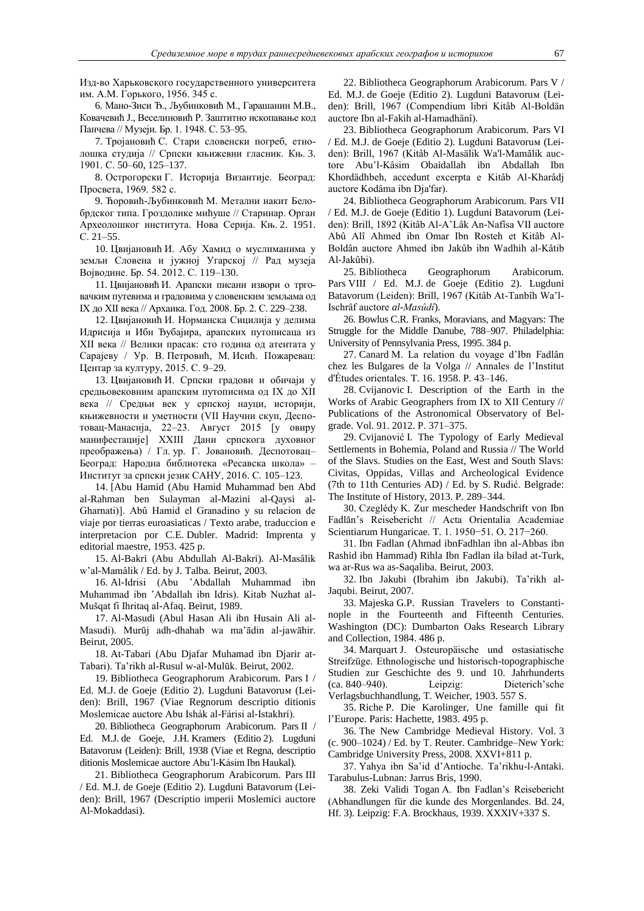Изд-во Харьковского государственного университета им. А.М. Горького, 1956. 345 с.

6. Мано-Зиси Ђ., Љубинковић М., Гарашанин М.В., Ковачевић Ј., Веселиновић Р. Заштитно ископавање код Панчева // Музеји. Бр. 1. 1948. С. 53–95.

7. Тројановић С. Стари словенски погреб, етнолошка студија // Српски књижевни гласник. Књ. 3. 1901. С. 50–60, 125–137.

8. Острогорски Г. Историја Византије. Београд: Просвета, 1969. 582 с.

9. Ћоровић-Љубинковић М. Метални накит Белобрдског типа. Гроздолике мићуше // Старинар. Орган Археолошког института. Нова Сериjа. Књ. 2. 1951. С. 21–55.

10. Цвијановић И. Абу Хамид о муслиманима у земљи Словена и јужној Угарској // Рад музеја Војводине. Бр. 54. 2012. С. 119–130.

11. Цвијановић И. Арапски писани извори о трговачким путевима и градовима у словенским земљама од IX до XII века // Архаика. Год. 2008. Бр. 2. С. 229–238.

12. Цвијановић И. Норманска Сицилија у делима Идрисија и Ибн Ђубајира, арапских путописаца из XII века // Велики прасак: сто година од атентата у Сарајеву / Ур. В. Петровић, М. Исић. Пожаревац: Центар за културу, 2015. С. 9–29.

13. Цвијановић И. Српски градови и обичаји у средњовековним арапским путописима од IX до XII века // Средњи век у српској науци, историји, књижевности и уметности (VII Научни скуп, Деспотовац-Манасија, 22–23. Август 2015 [у овиру манифестације] XXIII Дани српскога духовног преображења) / Гл. ур. Г. Јовановић. Деспотовац– Београд: Народна библиотека «Ресавска школа» – Институт за српски језик САНУ, 2016. С. 105–123.

14. [Abu Hamid (Abu Hamid Muhammad ben Abd al-Rahman ben Sulayman al-Mazini al-Qaysi al-Gharnati)]. Abû Hamid el Granadino y su relacion de viaje por tierras euroasiaticas / Texto arabe, traduccion e interpretacion por C.E. Dubler. Madrid: Imprenta y editorial maestre, 1953. 425 p.

15. Al-Bakri (Abu Abdullah Al-Bakri). Al-Masâlik w"al-Mamâlik / Ed. by J. Talba. Beirut, 2003.

16. Al-Idrisi (Abu 'Abdallah Muhammad ibn Muhammad ibn 'Abdallah ibn Idris). Kitab Nuzhat al-Mušqat fi Ihritaq al-Afaq. Beirut, 1989.

17. Al-Masudi (Abul Hasan Ali ibn Husain Ali al-Masudi). Murūj adh-dhahab wa ma"ādin al-jawāhir. Beirut, 2005.

18. At-Tabari (Abu Djafar Muhamad ibn Djarir at-Tabari). Ta"rikh al-Rusul w-al-Mulūk. Beirut, 2002.

19. Bibliotheca Geographorum Arabicorum. Pars I / Ed. M.J. de Goeje (Editio 2). Lugduni Batavoruм (Leiden): Brill, 1967 (Viae Regnorum descriptio ditionis Moslemicae auctore Abu Ishák al-Fárisi al-Istakhrí).

20. Bibliotheca Geographorum Arabicorum. Pars II / Ed. M.J. de Goeje, J.H. Kramers (Editio 2). Lugduni Batavoruм (Leiden): Brill, 1938 (Viae et Regna, descriptio ditionis Moslemicae auctore Abu"l-Kásim Ibn Haukal).

21. Bibliotheca Geographorum Arabicorum. Pars III / Ed. M.J. de Goeje (Editio 2). Lugduni Batavorum (Leiden): Brill, 1967 (Descriptio imperii Moslemici auctore Al-Mokaddasi).

22. Bibliotheca Geographorum Arabicorum. Pars V / Ed. M.J. de Goeje (Editio 2). Lugduni Batavoruм (Leiden): Brill, 1967 (Compendium libri Kitâb Al-Boldän auctore Ibn al-Fakih al-Hamadhänî).

23. Bibliotheca Geographorum Arabicorum. Pars VI / Ed. M.J. de Goeje (Editio 2). Lugduni Batavoruм (Leiden): Brill, 1967 (Kitâb Al-Masälik Wa'l-Mamãlik auctore Abu"l-Kâsim Obaidallah ibn Abdallah Ibn Khordädhbeh, accedunt excerpta e Kitâb Al-Kharâdj auctore Kodâma ibn Dja'far).

24. Bibliotheca Geographorum Arabicorum. Pars VII / Ed. M.J. de Goeje (Editio 1). Lugduni Batavorum (Leiden): Brill, 1892 (Kitâb Al-A"Lâk An-Nafîsa VII auctore Abû Alî Ahmed ibn Omar Ibn Rosteh et Kitâb Al-Boldân auctore Ahmed ibn Jakûb ibn Wadhih al-Kâtib Al-Jakûbi).

25. Bibliotheca Geographorum Arabicorum. Pars VIII / Ed. M.J. de Goeje (Editio 2). Lugduni Batavorum (Leiden): Brill, 1967 (Kitâb At-Tanbîh Wa"l-Ischrâf auctore *al-Masûdî*).

26. Bowlus C.R. Franks, Moravians, and Magyars: The Struggle for the Middle Danube, 788–907. Philadelphia: University of Pennsylvania Press, 1995. 384 p.

27. Canard M. La relation du voyage d"Ibn Fadlân chez les Bulgares de la Volga // Annales de l"Institut d'Études orientales. T. 16. 1958. P. 43–146.

28. Cvijanovic I. Description of the Earth in the Works of Arabic Geographers from IX to XII Century // Publications of the Astronomical Observatory of Belgrade. Vol. 91. 2012. P. 371–375.

29. Cvijanović I. The Typology of Early Medieval Settlements in Bohemia, Poland and Russia // The World of the Slavs. Studies on the East, West and South Slavs: Civitas, Oppidas, Villas and Archeological Evidence (7th to 11th Centuries AD) / Ed. by S. Rudić. Belgrade: The Institute of History, 2013. P. 289–344.

30. Czeglédy K. Zur mescheder Handschrift von Ibn Fadlān"s Reisebericht // Acta Orientalia Academiae Scientiarum Hungaricae. T. 1. 1950−51. О. 217−260.

31. Ibn Fadlan (Ahmad ibnFadhlan ibn al-Abbas ibn Rashid ibn Hammad) Rihla Ibn Fadlan ila bilad at-Turk, wa ar-Rus wa as-Saqaliba. Beirut, 2003.

32. Ibn Jakubi (Ibrahim ibn Jakubi). Ta"rikh al-Jaqubi. Beirut, 2007.

33. Majeska G.P. Russian Travelers to Constantinople in the Fourteenth and Fifteenth Centuries. Washington (DC): Dumbarton Oaks Research Library and Collection, 1984. 486 p.

34. Marquart J. Osteuropäische und ostasiatische Streifzüge. Ethnologische und historisch-topographische Studien zur Geschichte des 9. und 10. Jahrhunderts (ca. 840–940). Leipzig: Dieterich"sche Verlagsbuchhandlung, T. Weicher, 1903. 557 S.

35. Riche P. Die Karolinger, Une famille qui fit l"Europe. Paris: Hachette, 1983. 495 p.

36. The New Cambridge Medieval History. Vol. 3 (c. 900–1024) / Ed. by T. Reuter. Cambridge–New York: Cambridge University Press, 2008. XXVI+811 p.

37. Yahya ibn Sa"id d"Antioche. Ta"rikhu-l-Antaki. Tarabulus-Lubnan: Jarrus Bris, 1990.

38. Zeki Validi Togan A. Ibn Fadlan"s Reisebericht (Abhandlungen für die kunde des Morgenlandes. Bd. 24, Hf. 3). Leipzig: F.A. Brockhaus, 1939. XXXIV+337 S.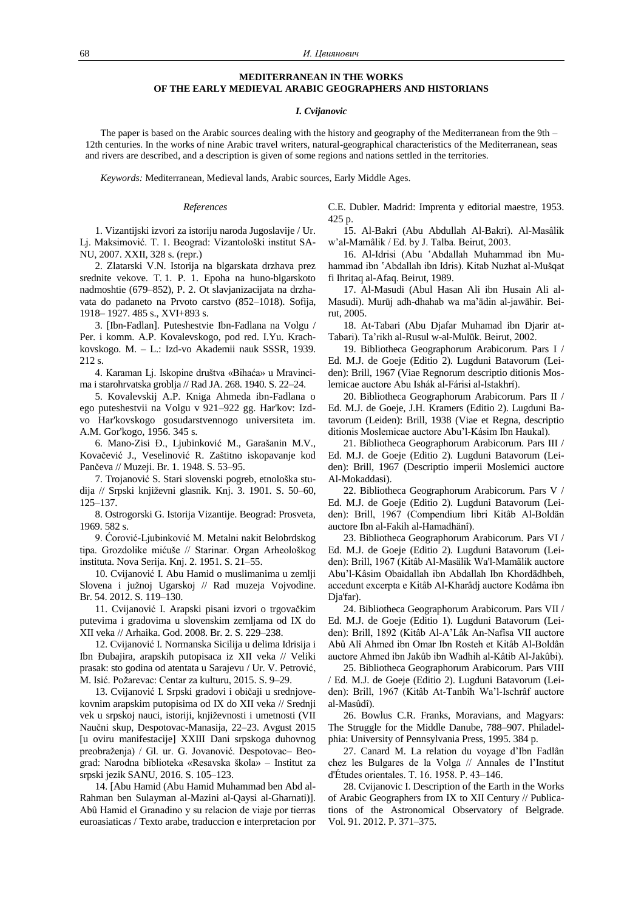# **MEDITERRANEAN IN THE WORKS OF THE EARLY MEDIEVAL ARABIC GEOGRAPHERS AND HISTORIANS**

## *I. Cvijanovic*

The paper is based on the Arabic sources dealing with the history and geography of the Mediterranean from the 9th – 12th centuries. In the works of nine Arabic travel writers, natural-geographical characteristics of the Mediterranean, seas and rivers are described, and a description is given of some regions and nations settled in the territories.

*Keywords:* Mediterranean, Medieval lands, Arabic sources, Early Middle Ages.

## *References*

1. Vizantijski izvori za istoriju naroda Jugoslavije / Ur. Lj. Maksimović. T. 1. Beograd: Vizantološki institut SA-NU, 2007. XXII, 328 s. (repr.)

2. Zlatarski V.N. Istorija na blgarskata drzhava prez srednite vekove. T. 1. P. 1. Epoha na huno-blgarskoto nadmoshtie (679–852), P. 2. Ot slavjanizacijata na drzhavata do padaneto na Prvoto carstvo (852–1018). Sofija, 1918– 1927. 485 s., XVI+893 s.

3. [Ibn-Fadlan]. Puteshestvie Ibn-Fadlana na Volgu / Per. i komm. A.P. Kovalevskogo, pod red. I.Yu. Krachkovskogo. M. – L.: Izd-vo Akademii nauk SSSR, 1939. 212 s.

4. Karaman Lj. Iskopine društva «Bihaća» u Mravincima i starohrvatska groblja // Rad JA. 268. 1940. S. 22–24.

5. Kovalevskij A.P. Kniga Ahmeda ibn-Fadlana o ego puteshestvii na Volgu v 921–922 gg. Har'kov: Izdvo Har'kovskogo gosudarstvennogo universiteta im. A.M. Gor'kogo, 1956. 345 s.

6. Mano-Zisi Đ., Ljubinković M., Garašanin M.V., Kovačević J., Veselinović R. Zaštitno iskopavanje kod Pančeva // Muzeji. Br. 1. 1948. S. 53–95.

7. Trojanović S. Stari slovenski pogreb, etnološka studija // Srpski književni glasnik. Knj. 3. 1901. S. 50–60, 125–137.

8. Ostrogorski G. Istorija Vizantije. Beograd: Prosveta, 1969. 582 s.

9. Ćorović-Ljubinković M. Metalni nakit Belobrdskog tipa. Grozdolike mićuše // Starinar. Organ Arheološkog instituta. Nova Serija. Knj. 2. 1951. S. 21–55.

10. Cvijanović I. Abu Hamid o muslimanima u zemlji Slovena i južnoj Ugarskoj // Rad muzeja Vojvodine. Br. 54. 2012. S. 119–130.

11. Cvijanović I. Arapski pisani izvori o trgovačkim putevima i gradovima u slovenskim zemljama od IX do XII veka // Arhaika. God. 2008. Br. 2. S. 229–238.

12. Cvijanović I. Normanska Sicilija u delima Idrisija i Ibn Đubajira, arapskih putopisaca iz XII veka // Veliki prasak: sto godina od atentata u Sarajevu / Ur. V. Petrović, M. Isić. Požarevac: Centar za kulturu, 2015. S. 9–29.

13. Cvijanović I. Srpski gradovi i običaji u srednjovekovnim arapskim putopisima od IX do XII veka // Srednji vek u srpskoj nauci, istoriji, književnosti i umetnosti (VII Naučni skup, Despotovac-Manasija, 22–23. Avgust 2015 [u oviru manifestacije] XXIII Dani srpskoga duhovnog preobraženja) / Gl. ur. G. Jovanović. Despotovac– Beograd: Narodna biblioteka «Resavska škola» – Institut za srpski jezik SANU, 2016. S. 105–123.

14. [Abu Hamid (Abu Hamid Muhammad ben Abd al-Rahman ben Sulayman al-Mazini al-Qaysi al-Gharnati)]. Abû Hamid el Granadino y su relacion de viaje por tierras euroasiaticas / Texto arabe, traduccion e interpretacion por C.E. Dubler. Madrid: Imprenta y editorial maestre, 1953. 425 p.

15. Al-Bakri (Abu Abdullah Al-Bakri). Al-Masâlik w"al-Mamâlik / Ed. by J. Talba. Beirut, 2003.

16. Al-Idrisi (Abu 'Abdallah Muhammad ibn Muhammad ibn 'Abdallah ibn Idris). Kitab Nuzhat al-Mušqat fi Ihritaq al-Afaq. Beirut, 1989.

17. Al-Masudi (Abul Hasan Ali ibn Husain Ali al-Masudi). Murūj adh-dhahab wa ma"ādin al-jawāhir. Beirut, 2005.

18. At-Tabari (Abu Djafar Muhamad ibn Djarir at-Tabari). Ta"rikh al-Rusul w-al-Mulūk. Beirut, 2002.

19. Bibliotheca Geographorum Arabicorum. Pars I / Ed. M.J. de Goeje (Editio 2). Lugduni Batavorum (Leiden): Brill, 1967 (Viae Regnorum descriptio ditionis Moslemicae auctore Abu Ishák al-Fárisi al-Istakhrí).

20. Bibliotheca Geographorum Arabicorum. Pars II / Ed. M.J. de Goeje, J.H. Kramers (Editio 2). Lugduni Batavorum (Leiden): Brill, 1938 (Viae et Regna, descriptio ditionis Moslemicae auctore Abu"l-Kásim Ibn Haukal).

21. Bibliotheca Geographorum Arabicorum. Pars III / Ed. M.J. de Goeje (Editio 2). Lugduni Batavorum (Leiden): Brill, 1967 (Descriptio imperii Moslemici auctore Al-Mokaddasi).

22. Bibliotheca Geographorum Arabicorum. Pars V / Ed. M.J. de Goeje (Editio 2). Lugduni Batavorum (Leiden): Brill, 1967 (Compendium libri Kitâb Al-Boldän auctore Ibn al-Fakih al-Hamadhänî).

23. Bibliotheca Geographorum Arabicorum. Pars VI / Ed. M.J. de Goeje (Editio 2). Lugduni Batavorum (Leiden): Brill, 1967 (Kitâb Al-Masälik Wa'l-Mamãlik auctore Abu"l-Kâsim Obaidallah ibn Abdallah Ibn Khordädhbeh, accedunt excerpta e Kitâb Al-Kharâdj auctore Kodâma ibn Dja'far).

24. Bibliotheca Geographorum Arabicorum. Pars VII / Ed. M.J. de Goeje (Editio 1). Lugduni Batavorum (Leiden): Brill, 1892 (Kitâb Al-A"Lâk An-Nafîsa VII auctore Abû Alî Ahmed ibn Omar Ibn Rosteh et Kitâb Al-Boldân auctore Ahmed ibn Jakûb ibn Wadhih al-Kâtib Al-Jakûbi).

25. Bibliotheca Geographorum Arabicorum. Pars VIII / Ed. M.J. de Goeje (Editio 2). Lugduni Batavorum (Leiden): Brill, 1967 (Kitâb At-Tanbîh Wa"l-Ischrâf auctore al-Masûdî).

26. Bowlus C.R. Franks, Moravians, and Magyars: The Struggle for the Middle Danube, 788–907. Philadelphia: University of Pennsylvania Press, 1995. 384 p.

27. Canard M. La relation du voyage d"Ibn Fadlân chez les Bulgares de la Volga // Annales de l"Institut d'Études orientales. T. 16. 1958. P. 43–146.

28. Cvijanovic I. Description of the Earth in the Works of Arabic Geographers from IX to XII Century // Publications of the Astronomical Observatory of Belgrade. Vol. 91. 2012. P. 371–375.